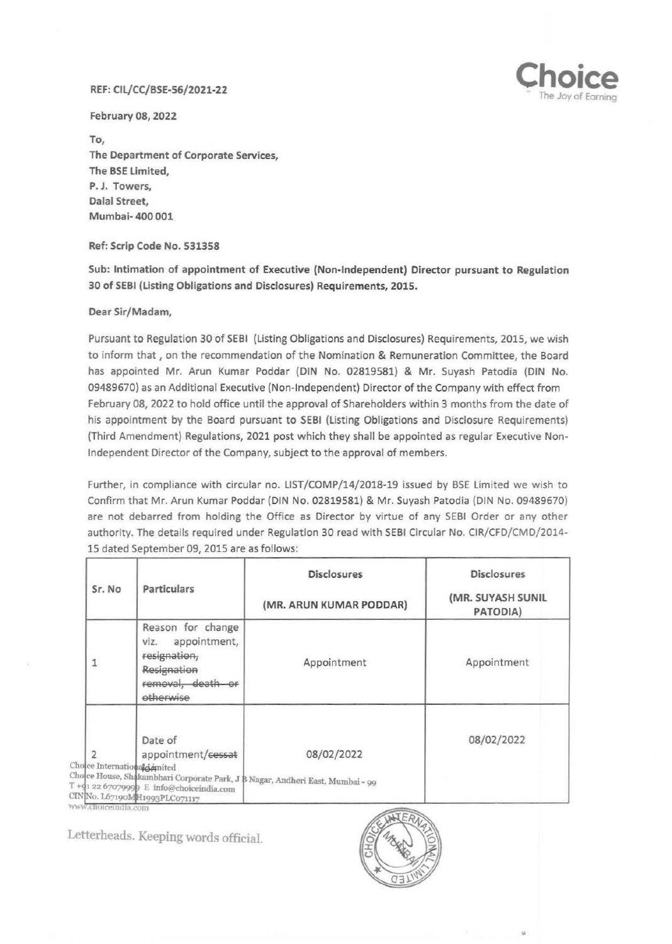## REF: CIL/CC/BSE-56/2021-22



February 08, 2022

To, The Department of Corporate Services, The BSE Limited, P. J. Towers, Dalal Street, Mumbai- 400 001

Ref: Scrip Code No. 531358

Sub: Intimation of appointment of Executive (Non-Independent) Director pursuant to Regulation 30 of SEBI (Listing Obligations and Disclosures) Requirements, 2015.

Dear Sir/Madam,

Pursuant to Regulation 30 of SEBI (Listing Obligations and Disclosures) Requirements, 2015, we wish to inform that , on the recommendation of the Nomination & Remuneration Committee, the Board has appointed Mr. Arun Kumar Poddar (DIN No. 02819581) & Mr. Suyash Patodia (DIN No. 09489670) as an Additional Executive (Non-Independent) Director of the Company with effect from February 08, 2022 to hold office until the approval of Shareholders within 3 months from the date of his appointment by the Board pursuant to SEBI (Listing Obligations and Disclosure Requirements) (Third Amendment) Regulations, 2021 post which they shall be appointed as regular Executive Non-Independent Director of the Company, subject to the approval of members.

Further, in compliance with circular no. LIST/COMP/14/2018-19 issued by BSE limited we wish to Confirm that Mr. Arun Kumar Poddar (DIN No. 02819581) & Mr. Suyash Patodia (DIN No. 09489670) are not debarred from holding the Office as Director by virtue of any SEBI Order or any other authority. The details required under Regulation 30 read with SEBI Circular No. CIR/CFD/CMD/2014- 15 dated September 09, 2015 are as follows:

| Sr. No                                             | Particulars                                                                                                | <b>Disclosures</b>                                                                           | <b>Disclosures</b>            |
|----------------------------------------------------|------------------------------------------------------------------------------------------------------------|----------------------------------------------------------------------------------------------|-------------------------------|
|                                                    |                                                                                                            | (MR. ARUN KUMAR PODDAR)                                                                      | (MR. SUYASH SUNIL<br>PATODIA) |
|                                                    | Reason for change<br>appointment,<br>Viz.<br>resignation,<br>Resignation<br>removal, death or<br>otherwise | Appointment                                                                                  | Appointment                   |
| Choice Internationald mited<br>www.choiceindia.com | Date of<br>appointment/cessat<br>T + 41 22 67079999 E info@choiceindia.com<br>CINNo. L67190MH1993PLC071117 | 08/02/2022<br>Cholce House, Shakambhari Corporate Park, J B Nagar, Andheri East, Mumbai - 99 | 08/02/2022                    |

Letterheads. Keeping words official.



..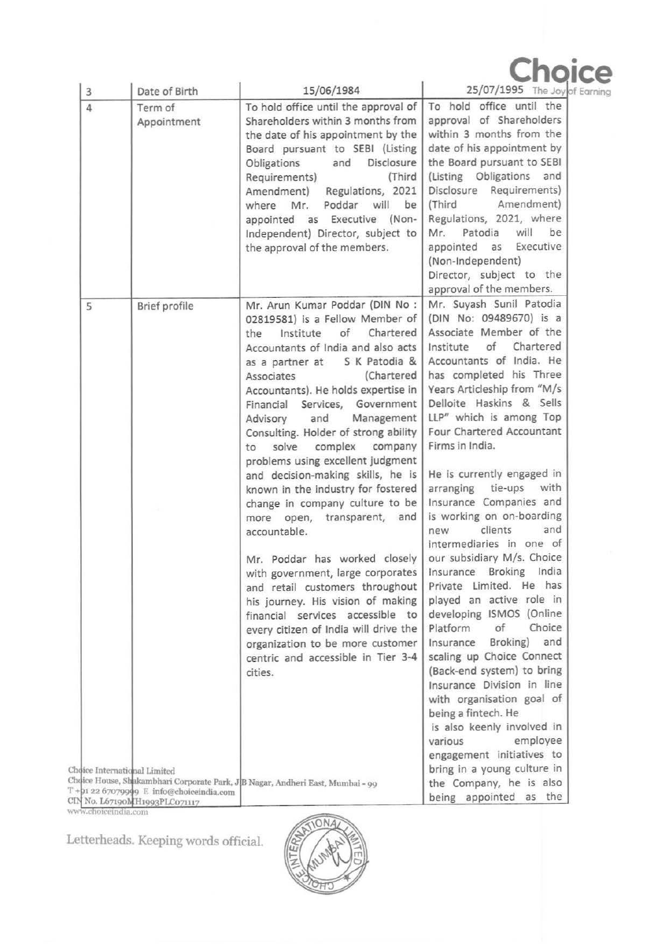| $\circ$ |  |  |  |
|---------|--|--|--|

of Earning

| Date of Birth<br>3                                                                                                                                                                 | 15/06/1984                                                                                                                                                                                                                                                                                                                                                                                                                                                                                                                                                                                                                                                                                                                                                                                                                                                                                                            | 25/07/1995 The Joy o                                                                                                                                                                                                                                                                                                                                                                                                                                                                                                                                                                                                                                                                                                                                                                                                                                                                                                                                            |
|------------------------------------------------------------------------------------------------------------------------------------------------------------------------------------|-----------------------------------------------------------------------------------------------------------------------------------------------------------------------------------------------------------------------------------------------------------------------------------------------------------------------------------------------------------------------------------------------------------------------------------------------------------------------------------------------------------------------------------------------------------------------------------------------------------------------------------------------------------------------------------------------------------------------------------------------------------------------------------------------------------------------------------------------------------------------------------------------------------------------|-----------------------------------------------------------------------------------------------------------------------------------------------------------------------------------------------------------------------------------------------------------------------------------------------------------------------------------------------------------------------------------------------------------------------------------------------------------------------------------------------------------------------------------------------------------------------------------------------------------------------------------------------------------------------------------------------------------------------------------------------------------------------------------------------------------------------------------------------------------------------------------------------------------------------------------------------------------------|
| Term of<br>4<br>Appointment                                                                                                                                                        | To hold office until the approval of<br>Shareholders within 3 months from<br>the date of his appointment by the<br>Board pursuant to SEBI (Listing<br>and<br>Disclosure<br>Obligations<br>(Third<br>Requirements)<br>Amendment) Regulations, 2021<br>Poddar will<br>be<br>where Mr.<br>appointed as Executive (Non-<br>Independent) Director, subject to<br>the approval of the members.                                                                                                                                                                                                                                                                                                                                                                                                                                                                                                                              | To hold office until the<br>approval of Shareholders<br>within 3 months from the<br>date of his appointment by<br>the Board pursuant to SEBI<br>(Listing Obligations and<br>Disclosure Requirements)<br>Amendment)<br>(Third<br>Regulations, 2021, where<br>Patodia<br>will<br>be<br>Mr.<br>Executive<br>appointed<br>as<br>(Non-Independent)<br>Director, subject to the<br>approval of the members.                                                                                                                                                                                                                                                                                                                                                                                                                                                                                                                                                           |
| Brief profile<br>5<br>Choice International Limited                                                                                                                                 | Mr. Arun Kumar Poddar (DIN No :<br>02819581) is a Fellow Member of<br>of Chartered<br>the<br>Institute<br>Accountants of India and also acts<br>S K Patodia &<br>as a partner at<br>(Chartered<br>Associates<br>Accountants). He holds expertise in<br>Services, Government<br>Financial<br>and<br>Management<br>Advisory<br>Consulting. Holder of strong ability<br>complex company<br>solve<br>to<br>problems using excellent judgment<br>and decision-making skills, he is<br>known in the industry for fostered<br>change in company culture to be<br>more open, transparent, and<br>accountable.<br>Mr. Poddar has worked closely<br>with government, large corporates<br>and retail customers throughout<br>his journey. His vision of making<br>financial services accessible to<br>every citizen of India will drive the<br>organization to be more customer<br>centric and accessible in Tier 3-4<br>cities. | Mr. Suyash Sunil Patodia<br>(DIN No: 09489670) is a<br>Associate Member of the<br>of<br>Chartered<br>Institute<br>Accountants of India. He<br>has completed his Three<br>Years Articleship from "M/s<br>Delloite Haskins & Sells<br>LLP" which is among Top<br>Four Chartered Accountant<br>Firms in India.<br>He is currently engaged in<br>tie-ups<br>with<br>arranging<br>Insurance Companies and<br>is working on on-boarding<br>clients<br>and<br>new<br>intermediaries in one of<br>our subsidiary M/s. Choice<br>Insurance Broking<br>India<br>Private Limited. He has<br>played an active role in<br>developing ISMOS (Online<br>Platform<br>of<br>Choice<br>Insurance<br>Broking)<br>and<br>scaling up Choice Connect<br>(Back-end system) to bring<br>Insurance Division in line<br>with organisation goal of<br>being a fintech. He<br>is also keenly involved in<br>employee<br>various<br>engagement initiatives to<br>bring in a young culture in |
| Choice House, Shakambhari Corporate Park, JB Nagar, Andheri East, Mumbai - 99<br>$T + 912267079999$ E info@choiceindia.com<br>CIN No. L67190MH1993PLC071117<br>www.choiceindia.com |                                                                                                                                                                                                                                                                                                                                                                                                                                                                                                                                                                                                                                                                                                                                                                                                                                                                                                                       | the Company, he is also<br>being appointed as the                                                                                                                                                                                                                                                                                                                                                                                                                                                                                                                                                                                                                                                                                                                                                                                                                                                                                                               |

Letterheads. Keeping words official.